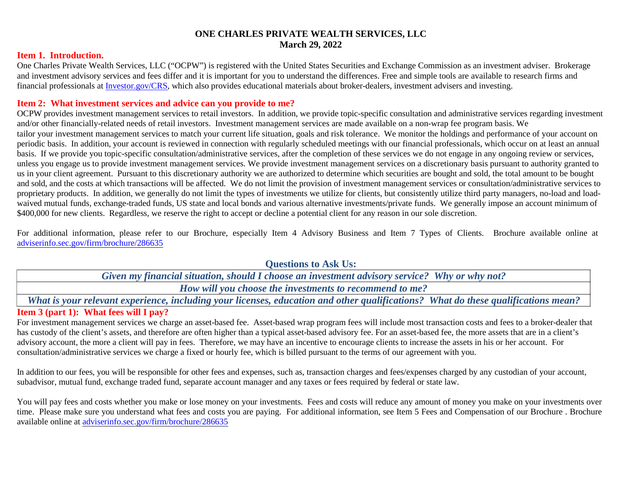### **ONE CHARLES PRIVATE WEALTH SERVICES, LLC March 29, 2022**

#### **Item 1. Introduction.**

One Charles Private Wealth Services, LLC ("OCPW") is registered with the United States Securities and Exchange Commission as an investment adviser. Brokerage and investment advisory services and fees differ and it is important for you to understand the differences. Free and simple tools are available to research firms and financial professionals at [Investor.gov/CRS](https://www.investor.gov/CRS), which also provides educational materials about broker-dealers, investment advisers and investing.

### **Item 2: What investment services and advice can you provide to me?**

OCPW provides investment management services to retail investors. In addition, we provide topic-specific consultation and administrative services regarding investment and/or other financially-related needs of retail investors. Investment management services are made available on a non-wrap fee program basis. We tailor your investment management services to match your current life situation, goals and risk tolerance. We monitor the holdings and performance of your account on periodic basis. In addition, your account is reviewed in connection with regularly scheduled meetings with our financial professionals, which occur on at least an annual basis. If we provide you topic-specific consultation/administrative services, after the completion of these services we do not engage in any ongoing review or services, unless you engage us to provide investment management services. We provide investment management services on a discretionary basis pursuant to authority granted to us in your client agreement. Pursuant to this discretionary authority we are authorized to determine which securities are bought and sold, the total amount to be bought and sold, and the costs at which transactions will be affected. We do not limit the provision of investment management services or consultation/administrative services to proprietary products. In addition, we generally do not limit the types of investments we utilize for clients, but consistently utilize third party managers, no-load and loadwaived mutual funds, exchange-traded funds, US state and local bonds and various alternative investments/private funds. We generally impose an account minimum of \$400,000 for new clients. Regardless, we reserve the right to accept or decline a potential client for any reason in our sole discretion.

For additional information, please refer to our Brochure, especially Item 4 Advisory Business and Item 7 Types of Clients. Brochure available online at [adviserinfo.sec.gov/firm/brochure/286635](https://adviserinfo.sec.gov/firm/summary/286635)

> **Questions to Ask Us:** *Given my financial situation, should I choose an investment advisory service? Why or why not? How will you choose the investments to recommend to me?*

**Item 3 (part 1): What fees will I pay?** *What is your relevant experience, including your licenses, education and other qualifications? What do these qualifications mean?*

For investment management services we charge an asset-based fee. Asset-based wrap program fees will include most transaction costs and fees to a broker-dealer that has custody of the client's assets, and therefore are often higher than a typical asset-based advisory fee. For an asset-based fee, the more assets that are in a client's advisory account, the more a client will pay in fees. Therefore, we may have an incentive to encourage clients to increase the assets in his or her account. For consultation/administrative services we charge a fixed or hourly fee, which is billed pursuant to the terms of our agreement with you.

In addition to our fees, you will be responsible for other fees and expenses, such as, transaction charges and fees/expenses charged by any custodian of your account, subadvisor, mutual fund, exchange traded fund, separate account manager and any taxes or fees required by federal or state law.

You will pay fees and costs whether you make or lose money on your investments. Fees and costs will reduce any amount of money you make on your investments over time. Please make sure you understand what fees and costs you are paying. For additional information, see Item 5 Fees and Compensation of our Brochure. Brochure available online at [adviserinfo.sec.gov/firm/brochure/286635](https://adviserinfo.sec.gov/firm/summary/286635)